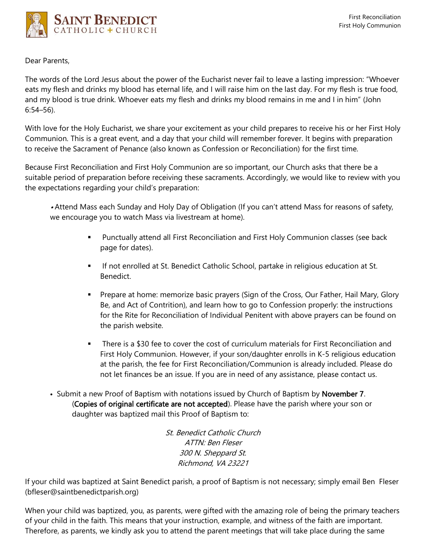

Dear Parents,

The words of the Lord Jesus about the power of the Eucharist never fail to leave a lasting impression: "Whoever eats my flesh and drinks my blood has eternal life, and I will raise him on the last day. For my flesh is true food, and my blood is true drink. Whoever eats my flesh and drinks my blood remains in me and I in him" (John 6:54–56).

With love for the Holy Eucharist, we share your excitement as your child prepares to receive his or her First Holy Communion. This is a great event, and a day that your child will remember forever. It begins with preparation to receive the Sacrament of Penance (also known as Confession or Reconciliation) for the first time.

Because First Reconciliation and First Holy Communion are so important, our Church asks that there be a suitable period of preparation before receiving these sacraments. Accordingly, we would like to review with you the expectations regarding your child's preparation:

• Attend Mass each Sunday and Holy Day of Obligation (If you can't attend Mass for reasons of safety, we encourage you to watch Mass via livestream at home).

- **■** Punctually attend all First Reconciliation and First Holy Communion classes (see back page for dates).
- **■** If not enrolled at St. Benedict Catholic School, partake in religious education at St. Benedict.
- **•** Prepare at home: memorize basic prayers (Sign of the Cross, Our Father, Hail Mary, Glory Be, and Act of Contrition), and learn how to go to Confession properly: the instructions for the Rite for Reconciliation of Individual Penitent with above prayers can be found on the parish website.
- There is a \$30 fee to cover the cost of curriculum materials for First Reconciliation and First Holy Communion. However, if your son/daughter enrolls in K-5 religious education at the parish, the fee for First Reconciliation/Communion is already included. Please do not let finances be an issue. If you are in need of any assistance, please contact us.
- Submit a new Proof of Baptism with notations issued by Church of Baptism by November 7. (Copies of original certificate are not accepted). Please have the parish where your son or daughter was baptized mail this Proof of Baptism to:

St. Benedict Catholic Church ATTN: Ben Fleser 300 N. Sheppard St. Richmond, VA 23221

If your child was baptized at Saint Benedict parish, a proof of Baptism is not necessary; simply email Ben Fleser (bfleser@saintbenedictparish.org)

When your child was baptized, you, as parents, were gifted with the amazing role of being the primary teachers of your child in the faith. This means that your instruction, example, and witness of the faith are important. Therefore, as parents, we kindly ask you to attend the parent meetings that will take place during the same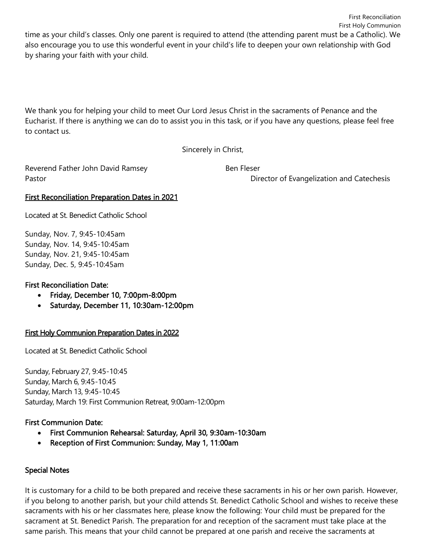time as your child's classes. Only one parent is required to attend (the attending parent must be a Catholic). We also encourage you to use this wonderful event in your child's life to deepen your own relationship with God by sharing your faith with your child.

We thank you for helping your child to meet Our Lord Jesus Christ in the sacraments of Penance and the Eucharist. If there is anything we can do to assist you in this task, or if you have any questions, please feel free to contact us.

Sincerely in Christ,

Reverend Father John David Ramsey **Ben Fleser** Ben Fleser

Pastor Director of Evangelization and Catechesis

## First Reconciliation Preparation Dates in 2021

Located at St. Benedict Catholic School

Sunday, Nov. 7, 9:45-10:45am Sunday, Nov. 14, 9:45-10:45am Sunday, Nov. 21, 9:45-10:45am Sunday, Dec. 5, 9:45-10:45am

# First Reconciliation Date:

- Friday, December 10, 7:00pm-8:00pm
- Saturday, December 11, 10:30am-12:00pm

# First Holy Communion Preparation Dates in 2022

Located at St. Benedict Catholic School

Sunday, February 27, 9:45-10:45 Sunday, March 6, 9:45-10:45 Sunday, March 13, 9:45-10:45 Saturday, March 19: First Communion Retreat, 9:00am-12:00pm

### First Communion Date:

- First Communion Rehearsal: Saturday, April 30, 9:30am-10:30am
- Reception of First Communion: Sunday, May 1, 11:00am

### Special Notes

It is customary for a child to be both prepared and receive these sacraments in his or her own parish. However, if you belong to another parish, but your child attends St. Benedict Catholic School and wishes to receive these sacraments with his or her classmates here, please know the following: Your child must be prepared for the sacrament at St. Benedict Parish. The preparation for and reception of the sacrament must take place at the same parish. This means that your child cannot be prepared at one parish and receive the sacraments at